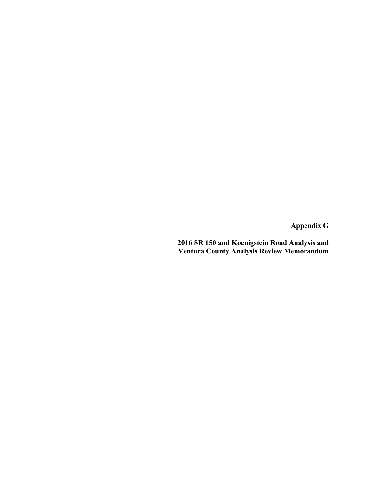**Appendix G** 

**2016 SR 150 and Koenigstein Road Analysis and Ventura County Analysis Review Memorandum**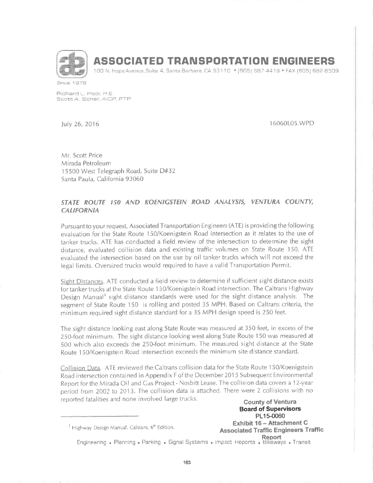

# ASSOCIATED TRANSPORTATION ENGINEERS

100 N, Hope Avenue, Suite 4, Santa Barbara, CA 93110 • [805] 687-4418 • FAX [805] 682-8509

Since 1978

Fichand L, Pool, P.E.<br>Scott A. Schell, AICP, PTP

)uly 26,2016 16060L0s.wPD

Mr, Scott Price Mirada Petroleum 15500 West Telegraph Road, Suite D#32 Santa Paula, California 93060

### STATE ROUTE 150 AND KOENIGSTEIN ROAD ANALYSIS, VENTURA COUNTY, **CALIFORNIA**

Pursuant to your request, Associated Transportation Engineers (ATE) is providing the following evaluation for the State Route 1SO/Koenigstein Road intersection as it relates to the use of tanker truclcs. ATE has conducted a field review of the intersection to determine the sight distance, evaluated collision data and existing traffic volumes on State Route 150. ATE evaluated the intersection based on the use by oil tanker trucks which will not exceed the legal limits. Oversízed trucks would required to have a valid Transportation Permit.

Sight Distances. ATE conducted a field review to determine if sufficient sight distance exists for tanker trucks at the State Route 150/Koenigstein Road intersection. The Caltrans Highway Design Manual<sup>1</sup> sight distance standards were used for the sight distance analysis. The segment of State Route 150 is rolling and posted 35 MPH. Based on Caltrans criteria, the minímum required sight distance standard for a 35 MPH design speed is 250 feet,

The sight distance looking east along State Route was measured at 350 feet, in excess of the 250-foot minimum. The sight distance looking west along State Route 150 was measured at 500 which also exceeds lhe 25O-foot minimum. The measured sight distance at the State Route 150/Koenigstein Road intersection exceeds the minimum site distance standard.

Collision Data. ATE reviewed the Caltrans collision data for the State Route 150/Koenigstein Road intersection contained in Appendix F of the December 201 5 Subsequent Environmental Report for the Mirada Oll and Cas Project- Nesbitt Lease. The collision data covers a l2-year period from 2002 to 2013. The collision data is attached. There were 2 collisions with no reported fatalities and none involved large trucks.<br> **County of Ventura** 

Board of Supervisors PL15-0060 Itighway Design Manual, Caltrans, 6<sup>th</sup> Edition. **Exhibit 16 - Attachment C** Associated Traffic Engineers Traffic Report Engineering . Planning . Parking . Signal Systems . Impact Heports . Bikeways . Transit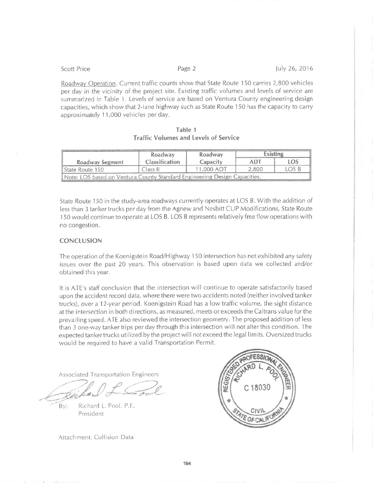| <b>SCOUL FFICE</b>                                                                              | LARG T | IUIY ZQ, ZUIQ |
|-------------------------------------------------------------------------------------------------|--------|---------------|
| Roadway Operation. Current traffic counts show that State Route 150 carries 2,800 vehicles      |        |               |
| per day in the vicinity of the project site. Existing traffic volumes and levels of service are |        |               |
| summarized in Table 1. Levels of service are based on Ventura County engineering design         |        |               |
| capacities, which show that 2-lane highway such as State Route 150 has the capacity to carry    |        |               |

 $D = -0$ 

approximately 11,000 vehicles per day.

| Table 1 |                                              |  |  |  |  |  |  |  |
|---------|----------------------------------------------|--|--|--|--|--|--|--|
|         | <b>Traffic Volumes and Levels of Service</b> |  |  |  |  |  |  |  |

|                                                                           | Roadway               | Roadway    | <b>Existing</b> |            |
|---------------------------------------------------------------------------|-----------------------|------------|-----------------|------------|
| <b>Roadway Segment</b>                                                    | <b>Classification</b> | Capacity   | ADT             | <b>LOS</b> |
| ll State Route 150                                                        | Class II              | 11,000 ADT | 2,800           | LOS B      |
| Note: LOS based on Ventura County Standard Engineering Design Capacities. |                       |            |                 |            |

State Route 150 in the study-area roadways currently operates at LOS B. With the addition of less than 3 tanker trucks per day from the Agnew and Nesbitt CUP Modifications, State Route 150 would continue to operate at LOS B. LOS B represents relatively free flow operations with no congestion.

#### **CONCLUSION**

**College Property** 

The operation of the Koenigstein Road/Highway 150 intersection has not exhibited any safety issues over the past 20 years. This observation is based upon data we collected and/or obtained this year.

It is ATE's staff conclusion that the intersection will continue to operate satisfactorily based upon the accident record data, where there were two accidents noted (neither involved tanker trucks), over a 12-year period. Koenigstein Road has a low traffic volume, the sight distance at the intersection in both directions, as measured, meets or exceeds the Caltrans value for the prevailing speed. ATE also reviewed the intersection geometry. The proposed addition of less than 3 one-way tanker trips per day through this intersection will not alter this condition. The expected tanker trucks utilized by the project will not exceed the legal limits. Oversized trucks would be required to have a valid Transportation Permit.

**Associated Transportation Engineers** 

Richard L. Pool, P.E. Bv: President

Attachment: Collision Data



164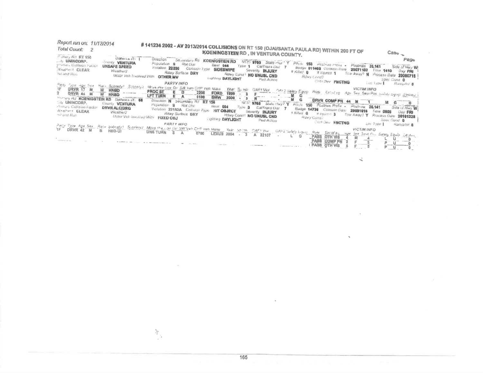| Report run on: 11/12/2014<br>Total Count: 2                                                                                                                                                                                                                                                             | #141234 2002 - AV 2013/2014 COLLISIONS ON RT 150 (OJAI/SANTA PAULA RD) WITHIN 200 FT OF<br>KOENINGSTEIN RD, IN VENTURA COUNTY.                                                                                                                                                                                                                                                                                                                                                                                                                                                                                                                                                                                                                                                                                                                                                                                                                                                                 | Cas <sub>o - a</sub>                                         |
|---------------------------------------------------------------------------------------------------------------------------------------------------------------------------------------------------------------------------------------------------------------------------------------------------------|------------------------------------------------------------------------------------------------------------------------------------------------------------------------------------------------------------------------------------------------------------------------------------------------------------------------------------------------------------------------------------------------------------------------------------------------------------------------------------------------------------------------------------------------------------------------------------------------------------------------------------------------------------------------------------------------------------------------------------------------------------------------------------------------------------------------------------------------------------------------------------------------------------------------------------------------------------------------------------------------|--------------------------------------------------------------|
| <sup>23</sup> mar e RT 150<br>$O(3740)$ Lu $R$ . $T$<br>UNINCORP.<br>COUNTY VENTURA<br>gramary Collision Fuctor.<br>UNSAFE SPEED<br>Wiselnell CLEAR<br>Weather?<br><b>Thi and Run</b>                                                                                                                   | <b>Direction</b><br>Sellentery Rd KOENIGSTEIN RD<br>NCRC 9765 State ever Y Private 150 Postman Prote -<br>Pupulution 9<br><b>Rol Uist</b><br><b>Bast 044</b><br>Postmila 26,141<br>Fype 1 CalTrans Dell 7<br>Badge 011409 Common Dure 20071102<br>Viciation 22350<br>Common Type SIDESWIPE<br>Severity, <b>INJURY</b><br>Title 1410<br>a ruled 0 = # injuried 1<br>Rawy Surface DRY<br>Tow Away? N Process Date<br>Rawy Cana! NO UNUSL CND<br>Motor Ven Involved With. OTHER MV<br>the company of the company of<br>Rdwy Lond?<br>Lawleng DAYLIGHT<br>Pad Arrest<br>Cott Day FNCTNG                                                                                                                                                                                                                                                                                                                                                                                                            | Page<br>Side of Hwy W<br>Day FRI<br>20080718<br>Spec Cond. 0 |
| Paits Syzie Have Size<br>Scoredy! Sounded<br>Kell<br>1F.<br>DRVR 17 M<br>$\frac{W}{W}$<br><b>HNBD</b><br>distance and<br><b>ORVR 44 M</b><br>HNBD<br>Morriers Ad KOENIGSTEIN RD Distance (7) 66<br>54 UNINCORP.<br>County VENTURA<br>Foman, Callisian Factor<br>Nealbert CLEAR<br>Weatherz<br>- and Run | PARTY INFO<br>Lost Type 1<br>Mrse Pre Cox Dr. SAI Ven CHP Ven Make<br>VICTIM INFO<br>Year, Sumit<br>CIAFZ Sales Equip Rolp Extra en<br>PROC ST<br>Ε<br>D<br>2200<br>FORD<br>Sex, Sear Pos. 2020): agrep. Electron.<br>1999<br>A()<br>$F_{\text{max}}$<br>EA<br>$\cdots$ $\cdots$ $\frac{M}{M}$<br>LFT TURN<br>G<br>G<br>0100<br><b>BMW</b><br>2000<br>DRVR COMP PN 44 M<br>Direction N Secondary Rd RT 150<br>and the particular con-<br>NCIC<br>9765 State Hay? Y<br>Houle 150 Postme Prince -<br>Population 9<br><b>HOLLNST</b><br>Heat 004<br>Postning.<br>$Ty\rho w$ 3<br>26.141<br>CalTrans Dist T<br>DRVR ALCIDRG Violation 23152A Collision Type<br>Buage 14736 Collabo Date<br>20031015<br><b>HIT OBJECT</b><br><b>Firmi 0805</b><br>Seventy <b>INJURY</b><br>n Killes Q = # Instruct 3<br><b>ROWY Surface DRY</b><br>Tow Away? Y Process Dute 20101228<br><b>Hdwy Cond't NO UNUSL CND</b><br>Mator Van involved With FIXED OBJ<br>Rdwy Condi<br><b>SOfting DAYLIGHT</b><br>Pad Action | Ramphil 3<br>Side of Hwy W.<br>Day FRI<br>Spec Cand 0        |
|                                                                                                                                                                                                                                                                                                         | <b>COMP ONLY FNOTNG</b><br>Love Type 1<br><b>PARTY INFO.</b><br>Party Type Age Sex Rece Sobraty: Subridity: Move the Car Dr SW Ven CHP veh Make Year Sprint, OAFD Vice OAF2 Safety Equip Rule<br><b>VICTIM INFO</b><br>$\frac{Ef_{2}}{2}$ of $b_{1}$<br>LEXUS 2004 - 3 A 22107<br>man Sun Seul Pro Sales Equip Jeans<br>$\sim$<br>G<br><b>PASS</b>                                                                                                                                                                                                                                                                                                                                                                                                                                                                                                                                                                                                                                             | Hampfint &                                                   |
| $ -$                                                                                                                                                                                                                                                                                                    | <b>OTH VIS</b><br>ΤÑ<br><b>COMP PN</b><br>and ward<br><b>OTH VIS</b>                                                                                                                                                                                                                                                                                                                                                                                                                                                                                                                                                                                                                                                                                                                                                                                                                                                                                                                           | and a second con-                                            |

 $\frac{2\pi}{3}$